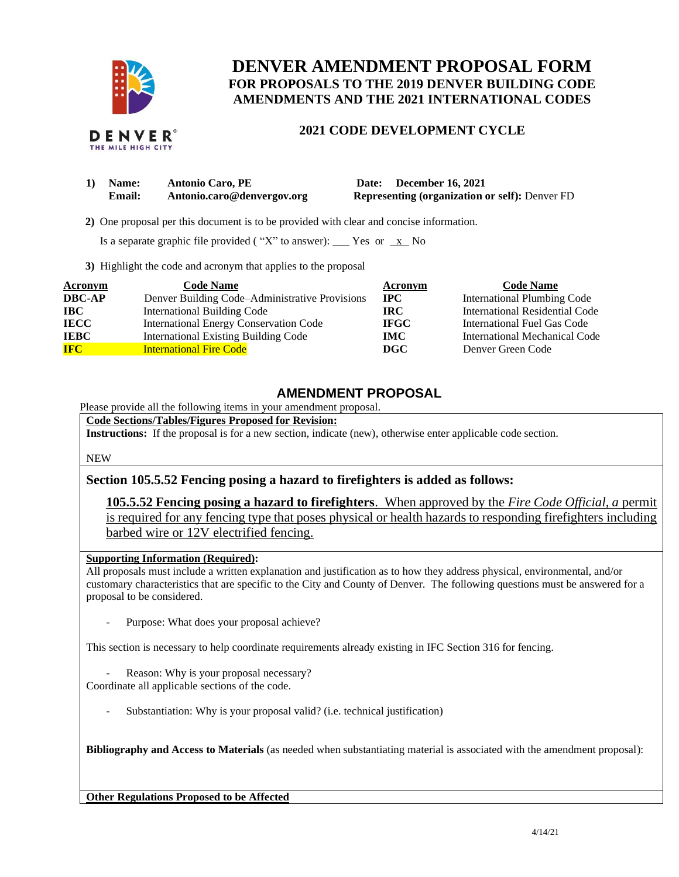

# **DENVER AMENDMENT PROPOSAL FORM FOR PROPOSALS TO THE 2019 DENVER BUILDING CODE AMENDMENTS AND THE 2021 INTERNATIONAL CODES**

## **2021 CODE DEVELOPMENT CYCLE**

| 1) Name: | <b>Antonio Caro, PE</b>    | Date: December 16, 2021                               |
|----------|----------------------------|-------------------------------------------------------|
| Email:   | Antonio.caro@denvergov.org | <b>Representing (organization or self): Denver FD</b> |

 **2)** One proposal per this document is to be provided with clear and concise information.

Is a separate graphic file provided ("X" to answer): \_\_\_ Yes or  $\overline{x}$  No

**3)** Highlight the code and acronym that applies to the proposal

| Acronym       | <b>Code Name</b>                               | Acronym     | <b>Code Name</b>                   |
|---------------|------------------------------------------------|-------------|------------------------------------|
| <b>DBC-AP</b> | Denver Building Code-Administrative Provisions | <b>IPC</b>  | <b>International Plumbing Code</b> |
| $\bf IBC$     | <b>International Building Code</b>             | IRC-        | International Residential Code     |
| <b>IECC</b>   | <b>International Energy Conservation Code</b>  | <b>IFGC</b> | International Fuel Gas Code        |
| <b>IEBC</b>   | <b>International Existing Building Code</b>    | IMC.        | International Mechanical Code      |
| <b>IFC</b>    | <b>International Fire Code</b>                 | DGC         | Denver Green Code                  |

## **AMENDMENT PROPOSAL**

Please provide all the following items in your amendment proposal.

**Code Sections/Tables/Figures Proposed for Revision:**

**Instructions:** If the proposal is for a new section, indicate (new), otherwise enter applicable code section.

NEW

### **Section 105.5.52 Fencing posing a hazard to firefighters is added as follows:**

**105.5.52 Fencing posing a hazard to firefighters**. When approved by the *Fire Code Official, a* permit is required for any fencing type that poses physical or health hazards to responding firefighters including barbed wire or 12V electrified fencing.

#### **Supporting Information (Required):**

All proposals must include a written explanation and justification as to how they address physical, environmental, and/or customary characteristics that are specific to the City and County of Denver. The following questions must be answered for a proposal to be considered.

Purpose: What does your proposal achieve?

This section is necessary to help coordinate requirements already existing in IFC Section 316 for fencing.

Reason: Why is your proposal necessary?

Coordinate all applicable sections of the code.

Substantiation: Why is your proposal valid? (i.e. technical justification)

**Bibliography and Access to Materials** (as needed when substantiating material is associated with the amendment proposal):

**Other Regulations Proposed to be Affected**